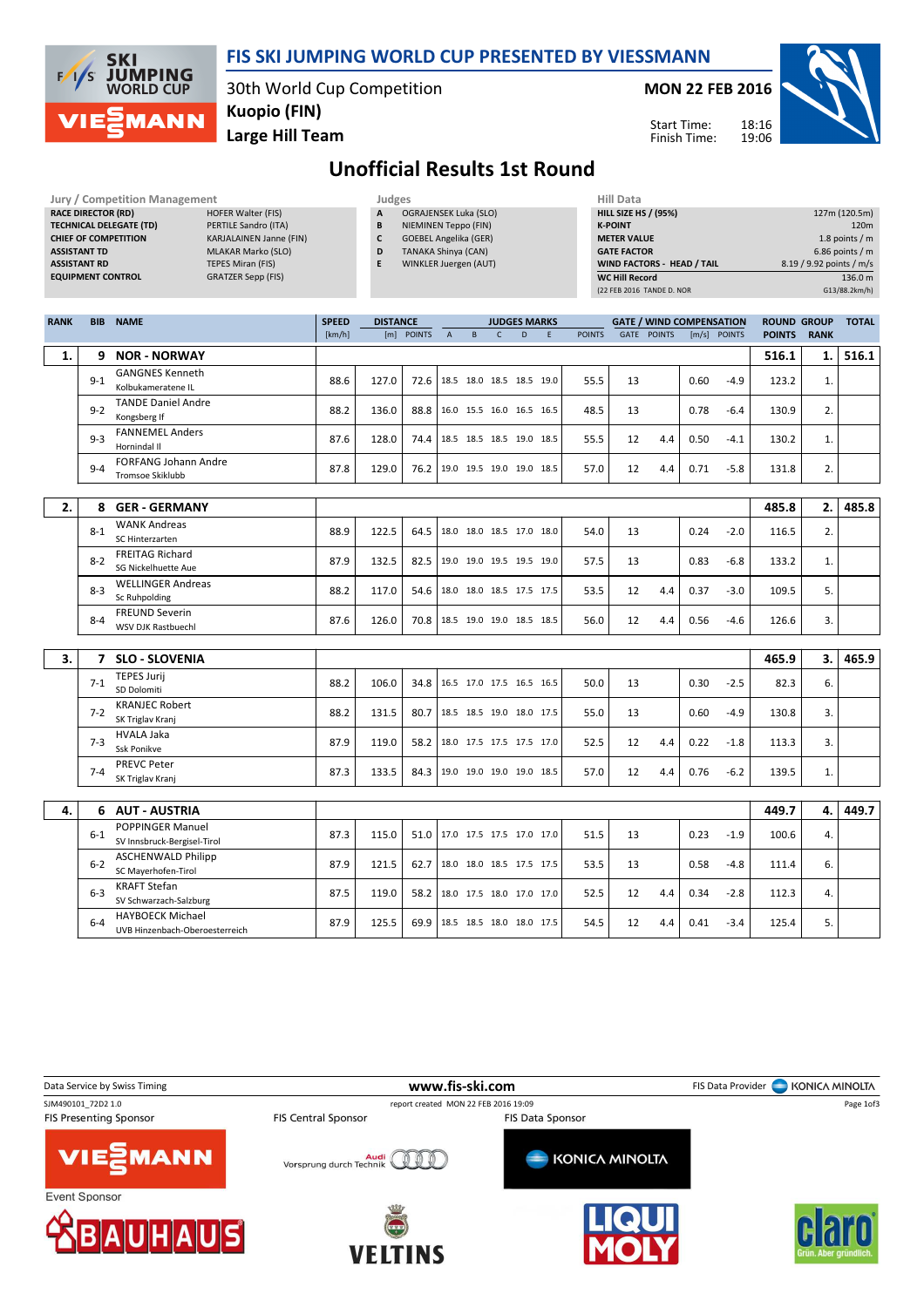| <b>SKI</b><br><b>JUMPING</b><br>WORLD CUP<br>1/5 |
|--------------------------------------------------|
| EZMANN                                           |

### FIS SKI JUMPING WORLD CUP PRESENTED BY VIESSMANN

30th World Cup Competition Kuopio (FIN)

Jury / Competition Management Judges Hill Data

Large Hill Team

MON 22 FEB 2016



Start Time: Finish Time:

# Unofficial Results 1st Round

|             | <b>RACE DIRECTOR (RD)</b><br><b>ASSISTANT TD</b><br><b>ASSISTANT RD</b> | <b>HOFER Walter (FIS)</b><br><b>TECHNICAL DELEGATE (TD)</b><br>PERTILE Sandro (ITA)<br><b>CHIEF OF COMPETITION</b><br>KARJALAINEN Janne (FIN)<br><b>MLAKAR Marko (SLO)</b><br><b>TEPES Miran (FIS)</b><br><b>EQUIPMENT CONTROL</b><br><b>GRATZER Sepp (FIS)</b> |              | Α<br>B<br>$\mathsf{c}$<br>D<br>E | <b>OGRAJENSEK Luka (SLO)</b><br>NIEMINEN Teppo (FIN)<br><b>GOEBEL Angelika (GER)</b><br><b>TANAKA Shinya (CAN)</b><br>WINKLER Juergen (AUT) |             |                          |              |                     |   |               | <b>K-POINT</b><br><b>METER VALUE</b><br><b>GATE FACTOR</b><br><b>WC Hill Record</b> | <b>HILL SIZE HS / (95%)</b><br>WIND FACTORS - HEAD / TAIL<br>(22 FEB 2016 TANDE D. NOR |      |              |                    | 8.19 / 9.92 points / m/s | 127m (120.5m)<br>120m<br>1.8 points / m<br>$6.86$ points / m<br>136.0 m<br>G13/88.2km/h) |
|-------------|-------------------------------------------------------------------------|-----------------------------------------------------------------------------------------------------------------------------------------------------------------------------------------------------------------------------------------------------------------|--------------|----------------------------------|---------------------------------------------------------------------------------------------------------------------------------------------|-------------|--------------------------|--------------|---------------------|---|---------------|-------------------------------------------------------------------------------------|----------------------------------------------------------------------------------------|------|--------------|--------------------|--------------------------|------------------------------------------------------------------------------------------|
| <b>RANK</b> | <b>BIB</b>                                                              | <b>NAME</b>                                                                                                                                                                                                                                                     | <b>SPEED</b> | <b>DISTANCE</b>                  |                                                                                                                                             |             |                          |              | <b>JUDGES MARKS</b> |   |               |                                                                                     | <b>GATE / WIND COMPENSATION</b>                                                        |      |              | <b>ROUND GROUP</b> |                          | <b>TOTAL</b>                                                                             |
|             |                                                                         |                                                                                                                                                                                                                                                                 | [km/h]       |                                  | [m] POINTS                                                                                                                                  | $\mathsf A$ | B                        | $\mathsf{C}$ | D                   | E | <b>POINTS</b> |                                                                                     | GATE POINTS                                                                            |      | [m/s] POINTS | <b>POINTS</b>      | <b>RANK</b>              |                                                                                          |
| 1.          | 9                                                                       | <b>NOR - NORWAY</b>                                                                                                                                                                                                                                             |              |                                  |                                                                                                                                             |             |                          |              |                     |   |               |                                                                                     |                                                                                        |      |              | 516.1              | 1.                       | 516.1                                                                                    |
|             | $9 - 1$                                                                 | <b>GANGNES Kenneth</b><br>Kolbukameratene IL                                                                                                                                                                                                                    | 88.6         | 127.0                            | 72.6                                                                                                                                        |             | 18.5 18.0 18.5 18.5 19.0 |              |                     |   | 55.5          | 13                                                                                  |                                                                                        | 0.60 | $-4.9$       | 123.2              | 1.                       |                                                                                          |
|             | $9 - 2$                                                                 | <b>TANDE Daniel Andre</b><br>Kongsberg If                                                                                                                                                                                                                       | 88.2         | 136.0                            | 88.8                                                                                                                                        |             | 16.0 15.5 16.0 16.5 16.5 |              |                     |   | 48.5          | 13                                                                                  |                                                                                        | 0.78 | $-6.4$       | 130.9              | 2.                       |                                                                                          |
|             | $9 - 3$                                                                 | <b>FANNEMEL Anders</b><br>Hornindal II                                                                                                                                                                                                                          | 87.6         | 128.0                            | 74.4                                                                                                                                        |             | 18.5 18.5 18.5 19.0 18.5 |              |                     |   | 55.5          | 12                                                                                  | 4.4                                                                                    | 0.50 | $-4.1$       | 130.2              | 1.                       |                                                                                          |
|             | $9 - 4$                                                                 | <b>FORFANG Johann Andre</b><br>Tromsoe Skiklubb                                                                                                                                                                                                                 | 87.8         | 129.0                            | 76.2                                                                                                                                        |             | 19.0 19.5 19.0 19.0 18.5 |              |                     |   | 57.0          | 12                                                                                  | 4.4                                                                                    | 0.71 | $-5.8$       | 131.8              | 2.                       |                                                                                          |
|             |                                                                         |                                                                                                                                                                                                                                                                 |              |                                  |                                                                                                                                             |             |                          |              |                     |   |               |                                                                                     |                                                                                        |      |              |                    |                          |                                                                                          |
| 2.          | 8                                                                       | <b>GER - GERMANY</b><br><b>WANK Andreas</b>                                                                                                                                                                                                                     |              |                                  |                                                                                                                                             |             |                          |              |                     |   |               |                                                                                     |                                                                                        |      |              | 485.8              | 2.                       | 485.8                                                                                    |
|             | $8 - 1$                                                                 | SC Hinterzarten                                                                                                                                                                                                                                                 | 88.9         | 122.5                            | 64.5                                                                                                                                        |             | 18.0 18.0 18.5 17.0 18.0 |              |                     |   | 54.0          | 13                                                                                  |                                                                                        | 0.24 | $-2.0$       | 116.5              | 2.                       |                                                                                          |
|             | $8 - 2$                                                                 | <b>FREITAG Richard</b><br>SG Nickelhuette Aue                                                                                                                                                                                                                   | 87.9         | 132.5                            | 82.5                                                                                                                                        |             | 19.0 19.0 19.5 19.5 19.0 |              |                     |   | 57.5          | 13                                                                                  |                                                                                        | 0.83 | $-6.8$       | 133.2              | 1.                       |                                                                                          |
|             | $8 - 3$                                                                 | <b>WELLINGER Andreas</b><br>Sc Ruhpolding                                                                                                                                                                                                                       | 88.2         | 117.0                            | 54.6                                                                                                                                        |             | 18.0 18.0 18.5 17.5 17.5 |              |                     |   | 53.5          | 12                                                                                  | 4.4                                                                                    | 0.37 | $-3.0$       | 109.5              | 5.                       |                                                                                          |
|             | $8 - 4$                                                                 | <b>FREUND Severin</b><br><b>WSV DJK Rastbuechl</b>                                                                                                                                                                                                              | 87.6         | 126.0                            | 70.8                                                                                                                                        |             | 18.5 19.0 19.0 18.5 18.5 |              |                     |   | 56.0          | 12                                                                                  | 4.4                                                                                    | 0.56 | $-4.6$       | 126.6              | 3.                       |                                                                                          |
|             |                                                                         |                                                                                                                                                                                                                                                                 |              |                                  |                                                                                                                                             |             |                          |              |                     |   |               |                                                                                     |                                                                                        |      |              |                    |                          |                                                                                          |
| 3.          | $\overline{7}$                                                          | <b>SLO - SLOVENIA</b><br><b>TEPES Jurij</b>                                                                                                                                                                                                                     |              |                                  |                                                                                                                                             |             |                          |              |                     |   |               |                                                                                     |                                                                                        |      |              | 465.9              | 3.                       | 465.9                                                                                    |
|             | $7 - 1$                                                                 | SD Dolomiti                                                                                                                                                                                                                                                     | 88.2         | 106.0                            | 34.8                                                                                                                                        |             | 16.5 17.0 17.5 16.5 16.5 |              |                     |   | 50.0          | 13                                                                                  |                                                                                        | 0.30 | $-2.5$       | 82.3               | 6.                       |                                                                                          |
|             | $7 - 2$                                                                 | <b>KRANJEC Robert</b><br>SK Triglav Kranj                                                                                                                                                                                                                       | 88.2         | 131.5                            | 80.7                                                                                                                                        |             | 18.5 18.5 19.0 18.0 17.5 |              |                     |   | 55.0          | 13                                                                                  |                                                                                        | 0.60 | $-4.9$       | 130.8              | 3.                       |                                                                                          |
|             | $7 - 3$                                                                 | <b>HVALA Jaka</b>                                                                                                                                                                                                                                               | 87.9         | 119.0                            | 58.2                                                                                                                                        |             | 18.0 17.5 17.5 17.5 17.0 |              |                     |   | 52.5          | 12                                                                                  | 4.4                                                                                    | 0.22 | $-1.8$       | 113.3              | 3.                       |                                                                                          |
|             |                                                                         | Ssk Ponikve<br>PREVC Peter                                                                                                                                                                                                                                      |              |                                  |                                                                                                                                             |             |                          |              |                     |   |               |                                                                                     |                                                                                        |      |              |                    |                          |                                                                                          |
|             | $7 - 4$                                                                 | SK Triglav Kranj                                                                                                                                                                                                                                                | 87.3         | 133.5                            | 84.3                                                                                                                                        |             | 19.0 19.0 19.0 19.0 18.5 |              |                     |   | 57.0          | 12                                                                                  | 4.4                                                                                    | 0.76 | $-6.2$       | 139.5              | 1.                       |                                                                                          |
|             |                                                                         |                                                                                                                                                                                                                                                                 |              |                                  |                                                                                                                                             |             |                          |              |                     |   |               |                                                                                     |                                                                                        |      |              |                    |                          |                                                                                          |
| 4.          | 6.                                                                      | <b>AUT - AUSTRIA</b><br>POPPINGER Manuel                                                                                                                                                                                                                        |              |                                  |                                                                                                                                             |             |                          |              |                     |   |               |                                                                                     |                                                                                        |      |              | 449.7              | 4.                       | 449.7                                                                                    |
|             | $6-1$                                                                   | SV Innsbruck-Bergisel-Tirol                                                                                                                                                                                                                                     | 87.3         | 115.0                            | 51.0                                                                                                                                        |             | 17.0 17.5 17.5 17.0 17.0 |              |                     |   | 51.5          | 13                                                                                  |                                                                                        | 0.23 | $-1.9$       | 100.6              | 4.                       |                                                                                          |
|             | $6 - 2$                                                                 | <b>ASCHENWALD Philipp</b><br>SC Mayerhofen-Tirol                                                                                                                                                                                                                | 87.9         | 121.5                            | 62.7                                                                                                                                        |             | 18.0 18.0 18.5 17.5 17.5 |              |                     |   | 53.5          | 13                                                                                  |                                                                                        | 0.58 | $-4.8$       | 111.4              | 6.                       |                                                                                          |
|             | $6 - 3$                                                                 | <b>KRAFT Stefan</b><br>SV Schwarzach-Salzburg                                                                                                                                                                                                                   | 87.5         | 119.0                            | 58.2                                                                                                                                        |             | 18.0 17.5 18.0 17.0 17.0 |              |                     |   | 52.5          | 12                                                                                  | 4.4                                                                                    | 0.34 | $-2.8$       | 112.3              | 4.                       |                                                                                          |
|             | $6 - 4$                                                                 | <b>HAYBOECK Michael</b><br>UVB Hinzenbach-Oberoesterreich                                                                                                                                                                                                       | 87.9         | 125.5                            | 69.9                                                                                                                                        |             | 18.5 18.5 18.0 18.0 17.5 |              |                     |   | 54.5          | 12                                                                                  | 4.4                                                                                    | 0.41 | $-3.4$       | 125.4              | 5.                       |                                                                                          |
|             |                                                                         |                                                                                                                                                                                                                                                                 |              |                                  |                                                                                                                                             |             |                          |              |                     |   |               |                                                                                     |                                                                                        |      |              |                    |                          |                                                                                          |

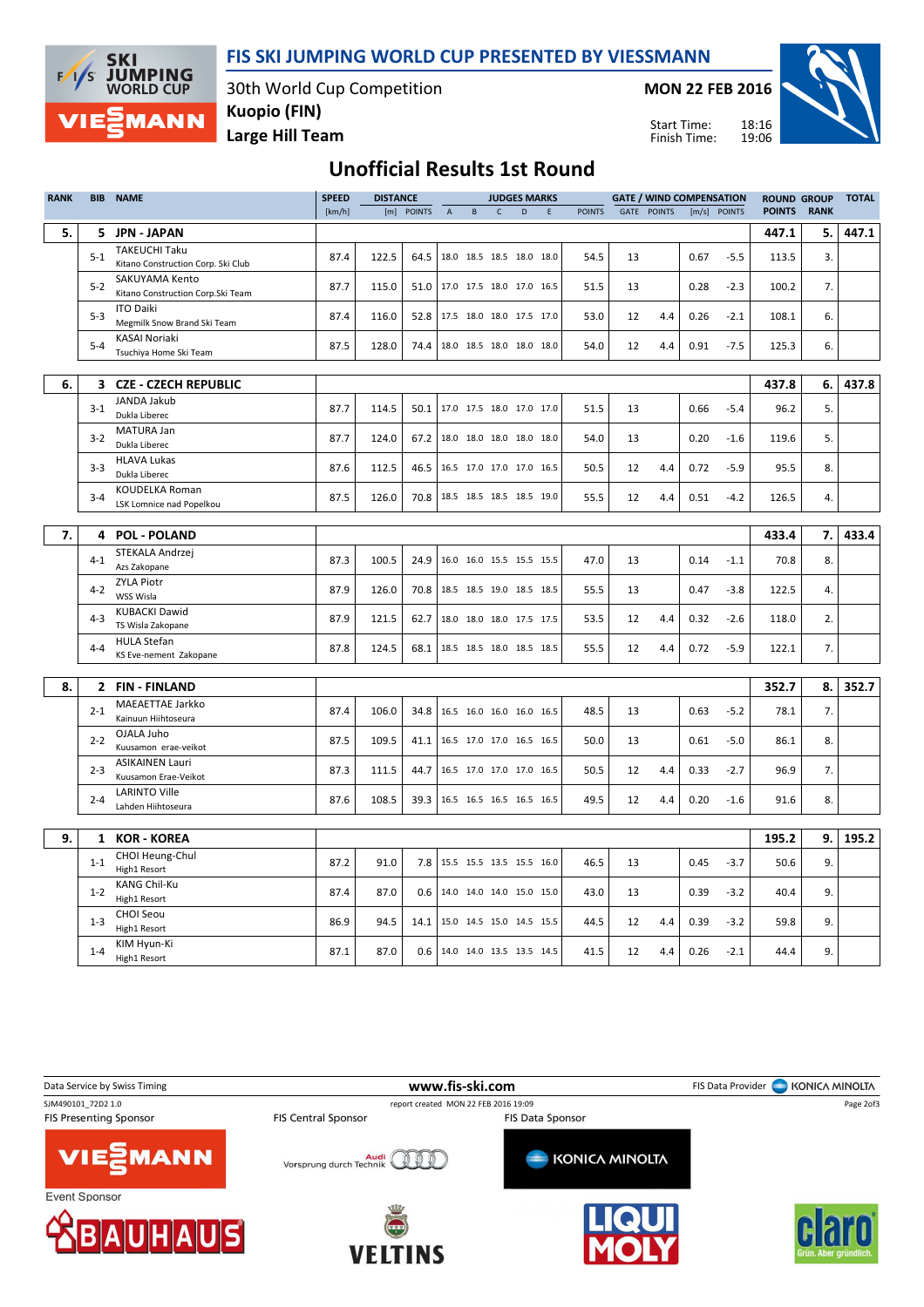

**SKI JUMPING**<br>WORLD CUP  $F/I$ /s MANN

30th World Cup Competition Kuopio (FIN)

MON 22 FEB 2016



## Large Hill Team

18:16 19:06 Start Time: Finish Time:

# Unofficial Results 1st Round

| <b>RANK</b> | BIB     | <b>NAME</b>                                | <b>SPEED</b> | <b>DISTANCE</b> |            |             |                                 |              | <b>JUDGES MARKS</b> |   |               |    | <b>GATE / WIND COMPENSATION</b> |      |              | <b>ROUND GROUP</b> |             | <b>TOTAL</b> |
|-------------|---------|--------------------------------------------|--------------|-----------------|------------|-------------|---------------------------------|--------------|---------------------|---|---------------|----|---------------------------------|------|--------------|--------------------|-------------|--------------|
|             |         |                                            | [km/h]       |                 | [m] POINTS | $\mathsf A$ | $\,$ B                          | $\mathsf{C}$ | D                   | E | <b>POINTS</b> |    | GATE POINTS                     |      | [m/s] POINTS | <b>POINTS</b>      | <b>RANK</b> |              |
| 5.          |         | 5 JPN - JAPAN                              |              |                 |            |             |                                 |              |                     |   |               |    |                                 |      |              | 447.1              | 5.          | 447.1        |
|             |         | <b>TAKEUCHI Taku</b>                       |              |                 |            |             |                                 |              |                     |   |               |    |                                 |      |              |                    |             |              |
|             | $5 - 1$ | Kitano Construction Corp. Ski Club         | 87.4         | 122.5           | 64.5       |             | 18.0 18.5 18.5 18.0 18.0        |              |                     |   | 54.5          | 13 |                                 | 0.67 | $-5.5$       | 113.5              | 3.          |              |
|             |         | <b>SAKUYAMA Kento</b>                      |              |                 |            |             |                                 |              |                     |   |               |    |                                 |      |              |                    |             |              |
|             | $5 - 2$ | Kitano Construction Corp. Ski Team         | 87.7         | 115.0           |            |             | 51.0 17.0 17.5 18.0 17.0 16.5   |              |                     |   | 51.5          | 13 |                                 | 0.28 | $-2.3$       | 100.2              | 7.          |              |
|             | $5 - 3$ | <b>ITO Daiki</b>                           | 87.4         | 116.0           | 52.8       |             | 17.5 18.0 18.0 17.5 17.0        |              |                     |   | 53.0          | 12 | 4.4                             | 0.26 | $-2.1$       | 108.1              | 6.          |              |
|             |         | Megmilk Snow Brand Ski Team                |              |                 |            |             |                                 |              |                     |   |               |    |                                 |      |              |                    |             |              |
|             | $5 - 4$ | <b>KASAI Noriaki</b>                       | 87.5         | 128.0           | 74.4       |             | 18.0 18.5 18.0 18.0 18.0        |              |                     |   | 54.0          | 12 | 4.4                             | 0.91 | $-7.5$       | 125.3              | 6.          |              |
|             |         | Tsuchiya Home Ski Team                     |              |                 |            |             |                                 |              |                     |   |               |    |                                 |      |              |                    |             |              |
|             |         |                                            |              |                 |            |             |                                 |              |                     |   |               |    |                                 |      |              |                    |             |              |
| 6.          | 3       | <b>CZE - CZECH REPUBLIC</b>                |              |                 |            |             |                                 |              |                     |   |               |    |                                 |      |              | 437.8              | 6.          | 437.8        |
|             | $3 - 1$ | JANDA Jakub                                | 87.7         | 114.5           | 50.1       |             | 17.0 17.5 18.0 17.0 17.0        |              |                     |   | 51.5          | 13 |                                 | 0.66 | $-5.4$       | 96.2               | 5.          |              |
|             |         | Dukla Liberec                              |              |                 |            |             |                                 |              |                     |   |               |    |                                 |      |              |                    |             |              |
|             | $3 - 2$ | MATURA Jan<br>Dukla Liberec                | 87.7         | 124.0           | 67.2       |             | 18.0 18.0 18.0 18.0 18.0        |              |                     |   | 54.0          | 13 |                                 | 0.20 | $-1.6$       | 119.6              | 5.          |              |
|             |         | <b>HLAVA Lukas</b>                         |              |                 |            |             |                                 |              |                     |   |               |    |                                 |      |              |                    |             |              |
|             | $3 - 3$ | Dukla Liberec                              | 87.6         | 112.5           | 46.5       |             | 16.5 17.0 17.0 17.0 16.5        |              |                     |   | 50.5          | 12 | 4.4                             | 0.72 | $-5.9$       | 95.5               | 8.          |              |
|             |         | <b>KOUDELKA Roman</b>                      |              |                 |            |             |                                 |              |                     |   |               |    |                                 |      |              |                    |             |              |
|             | $3 - 4$ | LSK Lomnice nad Popelkou                   | 87.5         | 126.0           | 70.8       |             | 18.5 18.5 18.5 18.5 19.0        |              |                     |   | 55.5          | 12 | 4.4                             | 0.51 | $-4.2$       | 126.5              | 4.          |              |
|             |         |                                            |              |                 |            |             |                                 |              |                     |   |               |    |                                 |      |              |                    |             |              |
| 7.          | 4       | <b>POL - POLAND</b>                        |              |                 |            |             |                                 |              |                     |   |               |    |                                 |      |              | 433.4              | 7.          | 433.4        |
|             | $4 - 1$ | STEKALA Andrzej                            | 87.3         | 100.5           | 24.9       |             | 16.0 16.0 15.5 15.5 15.5        |              |                     |   | 47.0          | 13 |                                 | 0.14 | $-1.1$       | 70.8               | 8.          |              |
|             |         | Azs Zakopane                               |              |                 |            |             |                                 |              |                     |   |               |    |                                 |      |              |                    |             |              |
|             | $4 - 2$ | <b>ZYLA Piotr</b>                          | 87.9         | 126.0           | 70.8       |             | 18.5 18.5 19.0 18.5 18.5        |              |                     |   | 55.5          | 13 |                                 | 0.47 | $-3.8$       | 122.5              | 4.          |              |
|             |         | WSS Wisla                                  |              |                 |            |             |                                 |              |                     |   |               |    |                                 |      |              |                    |             |              |
|             | $4 - 3$ | <b>KUBACKI Dawid</b><br>TS Wisla Zakopane  | 87.9         | 121.5           | 62.7       |             | 18.0 18.0 18.0 17.5 17.5        |              |                     |   | 53.5          | 12 | 4.4                             | 0.32 | $-2.6$       | 118.0              | 2.          |              |
|             |         | <b>HULA Stefan</b>                         |              |                 |            |             |                                 |              |                     |   |               |    |                                 |      |              |                    |             |              |
|             | $4 - 4$ | KS Eve-nement Zakopane                     | 87.8         | 124.5           | 68.1       |             | 18.5 18.5 18.0 18.5 18.5        |              |                     |   | 55.5          | 12 | 4.4                             | 0.72 | $-5.9$       | 122.1              | 7.          |              |
|             |         |                                            |              |                 |            |             |                                 |              |                     |   |               |    |                                 |      |              |                    |             |              |
| 8.          | 2       | <b>FIN-FINLAND</b>                         |              |                 |            |             |                                 |              |                     |   |               |    |                                 |      |              | 352.7              | 8.          | 352.7        |
|             |         | MAEAETTAE Jarkko                           |              |                 |            |             |                                 |              |                     |   |               |    |                                 |      |              |                    |             |              |
|             | $2 - 1$ | Kainuun Hiihtoseura                        | 87.4         | 106.0           | 34.8       |             | 16.5 16.0 16.0 16.0 16.5        |              |                     |   | 48.5          | 13 |                                 | 0.63 | $-5.2$       | 78.1               | 7.          |              |
|             | $2 - 2$ | OJALA Juho                                 | 87.5         | 109.5           | 41.1       |             | 16.5 17.0 17.0 16.5 16.5        |              |                     |   |               | 13 |                                 | 0.61 | $-5.0$       |                    | 8.          |              |
|             |         | Kuusamon erae-veikot                       |              |                 |            |             |                                 |              |                     |   | 50.0          |    |                                 |      |              | 86.1               |             |              |
|             | $2 - 3$ | <b>ASIKAINEN Lauri</b>                     | 87.3         | 111.5           | 44.7       |             | 16.5 17.0 17.0 17.0 16.5        |              |                     |   | 50.5          | 12 | 4.4                             | 0.33 | $-2.7$       | 96.9               | 7.          |              |
|             |         | Kuusamon Erae-Veikot                       |              |                 |            |             |                                 |              |                     |   |               |    |                                 |      |              |                    |             |              |
|             | $2 - 4$ | <b>LARINTO Ville</b><br>Lahden Hiihtoseura | 87.6         | 108.5           |            |             | 39.3   16.5 16.5 16.5 16.5 16.5 |              |                     |   | 49.5          | 12 | 4.4                             | 0.20 | $-1.6$       | 91.6               | 8.          |              |
|             |         |                                            |              |                 |            |             |                                 |              |                     |   |               |    |                                 |      |              |                    |             |              |
| 9.          | 1       | <b>KOR - KOREA</b>                         |              |                 |            |             |                                 |              |                     |   |               |    |                                 |      |              | 195.2              | 9.          | 195.2        |
|             |         | CHOI Heung-Chul                            |              |                 |            |             |                                 |              |                     |   |               |    |                                 |      |              |                    |             |              |
|             | $1 - 1$ | High1 Resort                               | 87.2         | 91.0            |            |             | 7.8 15.5 15.5 13.5 15.5 16.0    |              |                     |   | 46.5          | 13 |                                 | 0.45 | $-3.7$       | 50.6               | 9.          |              |
|             |         | <b>KANG Chil-Ku</b>                        |              |                 |            |             |                                 |              |                     |   |               |    |                                 |      |              |                    |             |              |
|             | $1 - 2$ | High1 Resort                               | 87.4         | 87.0            | 0.6        |             | 14.0 14.0 14.0 15.0 15.0        |              |                     |   | 43.0          | 13 |                                 | 0.39 | $-3.2$       | 40.4               | 9.          |              |
|             | $1 - 3$ | <b>CHOI Seou</b>                           | 86.9         | 94.5            | 14.1       |             | 15.0 14.5 15.0 14.5 15.5        |              |                     |   | 44.5          | 12 | 4.4                             | 0.39 | $-3.2$       | 59.8               | 9.          |              |
|             |         | High1 Resort                               |              |                 |            |             |                                 |              |                     |   |               |    |                                 |      |              |                    |             |              |
|             | $1 - 4$ | KIM Hyun-Ki                                | 87.1         | 87.0            |            |             | 0.6   14.0 14.0 13.5 13.5 14.5  |              |                     |   | 41.5          | 12 | 4.4                             | 0.26 | $-2.1$       | 44.4               | 9.          |              |
|             |         | High1 Resort                               |              |                 |            |             |                                 |              |                     |   |               |    |                                 |      |              |                    |             |              |